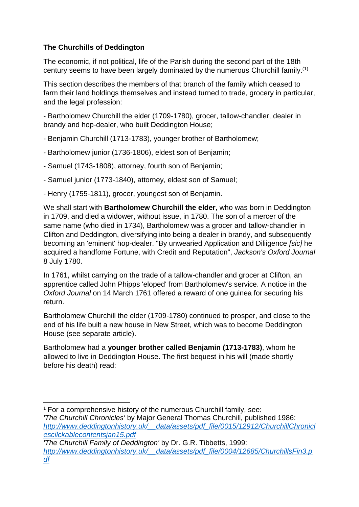# **The Churchills of Deddington**

The economic, if not political, life of the Parish during the second part of the 18th century seems to have been largely dominated by the numerous Churchill family.(1)

This section describes the members of that branch of the family which ceased to farm their land holdings themselves and instead turned to trade, grocery in particular, and the legal profession:

- Bartholomew Churchill the elder (1709-1780), grocer, tallow-chandler, dealer in brandy and hop-dealer, who built Deddington House;

- Benjamin Churchill (1713-1783), younger brother of Bartholomew;
- Bartholomew junior (1736-1806), eldest son of Benjamin;
- Samuel (1743-1808), attorney, fourth son of Benjamin;
- Samuel junior (1773-1840), attorney, eldest son of Samuel;
- Henry (1755-1811), grocer, youngest son of Benjamin.

We shall start with **Bartholomew Churchill the elder**, who was born in Deddington in 1709, and died a widower, without issue, in 1780. The son of a mercer of the same name (who died in 1734), Bartholomew was a grocer and tallow-chandler in Clifton and Deddington, diversifying into being a dealer in brandy, and subsequently becoming an 'eminent' hop-dealer. "By unwearied Application and Diliigence *[sic]* he acquired a handfome Fortune, with Credit and Reputation", *Jackson's Oxford Journal* 8 July 1780.

In 1761, whilst carrying on the trade of a tallow-chandler and grocer at Clifton, an apprentice called John Phipps 'eloped' from Bartholomew's service. A notice in the *Oxford Journal* on 14 March 1761 offered a reward of one guinea for securing his return.

Bartholomew Churchill the elder (1709-1780) continued to prosper, and close to the end of his life built a new house in New Street, which was to become Deddington House (see separate article).

Bartholomew had a **younger brother called Benjamin (1713-1783)**, whom he allowed to live in Deddington House. The first bequest in his will (made shortly before his death) read:

*'The Churchill Family of Deddington'* by Dr. G.R. Tibbetts, 1999: *[http://www.deddingtonhistory.uk/\\_\\_data/assets/pdf\\_file/0004/12685/ChurchillsFin3.p](http://www.deddingtonhistory.uk/__data/assets/pdf_file/0004/12685/ChurchillsFin3.pdf) [df](http://www.deddingtonhistory.uk/__data/assets/pdf_file/0004/12685/ChurchillsFin3.pdf)*

**<sup>.</sup>** <sup>1</sup> For a comprehensive history of the numerous Churchill family, see: *'The Churchill Chronicles'* by Major General Thomas Churchill, published 1986: *[http://www.deddingtonhistory.uk/\\_\\_data/assets/pdf\\_file/0015/12912/ChurchillChronicl](http://www.deddingtonhistory.uk/__data/assets/pdf_file/0015/12912/ChurchillChroniclescilckablecontentsjan15.pdf) [escilckablecontentsjan15.pdf](http://www.deddingtonhistory.uk/__data/assets/pdf_file/0015/12912/ChurchillChroniclescilckablecontentsjan15.pdf)*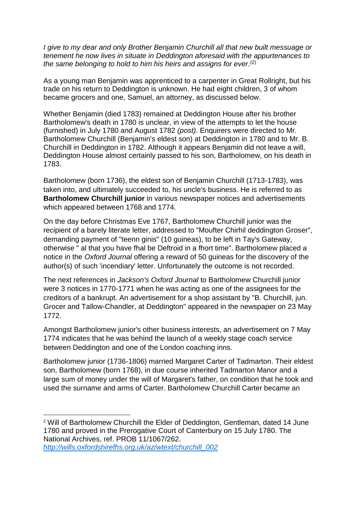*I give to my dear and only Brother Benjamin Churchill all that new built messuage or tenement he now lives in situate in Deddington aforesaid with the appurtenances to the same belonging to hold to him his heirs and assigns for ever.* (2)

As a young man Benjamin was apprenticed to a carpenter in Great Rollright, but his trade on his return to Deddington is unknown. He had eight children, 3 of whom became grocers and one, Samuel, an attorney, as discussed below.

Whether Benjamin (died 1783) remained at Deddington House after his brother Bartholomew's death in 1780 is unclear, in view of the attempts to let the house (furnished) in July 1780 and August 1782 *(post)*. Enquirers were directed to Mr. Bartholomew Churchill (Benjamin's eldest son) at Deddington in 1780 and to Mr. B. Churchill in Deddington in 1782. Although it appears Benjamin did not leave a will, Deddington House almost certainly passed to his son, Bartholomew, on his death in 1783.

Bartholomew (born 1736), the eldest son of Benjamin Churchill (1713-1783), was taken into, and ultimately succeeded to, his uncle's business. He is referred to as **Bartholomew Churchill junior** in various newspaper notices and advertisements which appeared between 1768 and 1774.

On the day before Christmas Eve 1767, Bartholomew Churchill junior was the recipient of a barely literate letter, addressed to "Moufter Chirhil deddington Groser", demanding payment of "teenn ginis" (10 guineas), to be left in Tay's Gateway, otherwise " al that you have fhal be Deftroid in a fhort time". Bartholomew placed a notice in the *Oxford Journal* offering a reward of 50 guineas for the discovery of the author(s) of such 'incendiary' letter. Unfortunately the outcome is not recorded.

The next references in *Jackson's Oxford Journal* to Bartholomew Churchill junior were 3 notices in 1770-1771 when he was acting as one of the assignees for the creditors of a bankrupt. An advertisement for a shop assistant by "B. Churchill, jun. Grocer and Tallow-Chandler, at Deddington" appeared in the newspaper on 23 May 1772.

Amongst Bartholomew junior's other business interests, an advertisement on 7 May 1774 indicates that he was behind the launch of a weekly stage coach service between Deddington and one of the London coaching inns.

Bartholomew junior (1736-1806) married Margaret Carter of Tadmarton. Their eldest son, Bartholomew (born 1768), in due course inherited Tadmarton Manor and a large sum of money under the will of Margaret's father, on condition that he took and used the surname and arms of Carter. Bartholomew Churchill Carter became an

1

<sup>&</sup>lt;sup>2</sup> Will of Bartholomew Churchill the Elder of Deddington, Gentleman, dated 14 June 1780 and proved in the Prerogative Court of Canterbury on 15 July 1780. The National Archives, ref. PROB 11/1067/262. *[http://wills.oxfordshirefhs.org.uk/az/wtext/churchill\\_002](http://wills.oxfordshirefhs.org.uk/az/wtext/churchill_002)*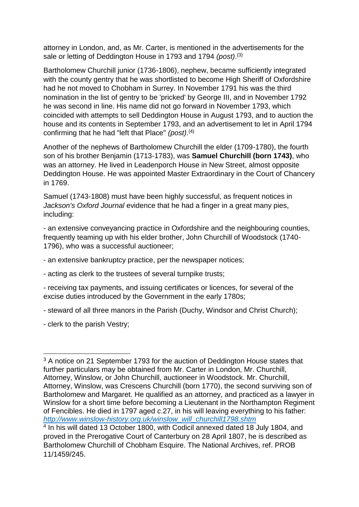attorney in London, and, as Mr. Carter, is mentioned in the advertisements for the sale or letting of Deddington House in 1793 and 1794 *(post)*.<sup>(3)</sup>

Bartholomew Churchill junior (1736-1806), nephew, became sufficiently integrated with the county gentry that he was shortlisted to become High Sheriff of Oxfordshire had he not moved to Chobham in Surrey. In November 1791 his was the third nomination in the list of gentry to be 'pricked' by George III, and in November 1792 he was second in line. His name did not go forward in November 1793, which coincided with attempts to sell Deddington House in August 1793, and to auction the house and its contents in September 1793, and an advertisement to let in April 1794 confirming that he had "left that Place" *(post)*. (4)

Another of the nephews of Bartholomew Churchill the elder (1709-1780), the fourth son of his brother Benjamin (1713-1783), was **Samuel Churchill (born 1743)**, who was an attorney. He lived in Leadenporch House in New Street, almost opposite Deddington House. He was appointed Master Extraordinary in the Court of Chancery in 1769.

Samuel (1743-1808) must have been highly successful, as frequent notices in *Jackson's Oxford Journal* evidence that he had a finger in a great many pies, including:

- an extensive conveyancing practice in Oxfordshire and the neighbouring counties, frequently teaming up with his elder brother, John Churchill of Woodstock (1740- 1796), who was a successful auctioneer;

- an extensive bankruptcy practice, per the newspaper notices;

- acting as clerk to the trustees of several turnpike trusts;

- receiving tax payments, and issuing certificates or licences, for several of the excise duties introduced by the Government in the early 1780s;

- steward of all three manors in the Parish (Duchy, Windsor and Christ Church);

- clerk to the parish Vestry;

**.** 

<sup>&</sup>lt;sup>3</sup> A notice on 21 September 1793 for the auction of Deddington House states that further particulars may be obtained from Mr. Carter in London, Mr. Churchill, Attorney, Winslow, or John Churchill, auctioneer in Woodstock. Mr. Churchill, Attorney, Winslow, was Crescens Churchill (born 1770), the second surviving son of Bartholomew and Margaret. He qualified as an attorney, and practiced as a lawyer in Winslow for a short time before becoming a Lieutenant in the Northampton Regiment of Fencibles. He died in 1797 aged *c*.27, in his will leaving everything to his father: *[http://www.winslow-history.org.uk/winslow\\_will\\_churchill1798.shtm](http://www.winslow-history.org.uk/winslow_will_churchill1798.shtm)*

<sup>4</sup> In his will dated 13 October 1800, with Codicil annexed dated 18 July 1804, and proved in the Prerogative Court of Canterbury on 28 April 1807, he is described as Bartholomew Churchill of Chobham Esquire. The National Archives, ref. PROB 11/1459/245.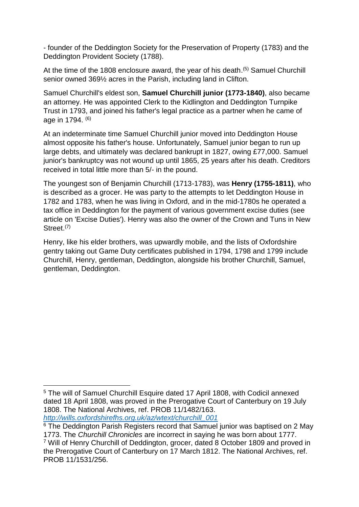- founder of the Deddington Society for the Preservation of Property (1783) and the Deddington Provident Society (1788).

At the time of the 1808 enclosure award, the year of his death.<sup>(5)</sup> Samuel Churchill senior owned 369½ acres in the Parish, including land in Clifton.

Samuel Churchill's eldest son, **Samuel Churchill junior (1773-1840)**, also became an attorney. He was appointed Clerk to the Kidlington and Deddington Turnpike Trust in 1793, and joined his father's legal practice as a partner when he came of age in 1794. (6)

At an indeterminate time Samuel Churchill junior moved into Deddington House almost opposite his father's house. Unfortunately, Samuel junior began to run up large debts, and ultimately was declared bankrupt in 1827, owing £77,000. Samuel junior's bankruptcy was not wound up until 1865, 25 years after his death. Creditors received in total little more than 5/- in the pound.

The youngest son of Benjamin Churchill (1713-1783), was **Henry (1755-1811)**, who is described as a grocer. He was party to the attempts to let Deddington House in 1782 and 1783, when he was living in Oxford, and in the mid-1780s he operated a tax office in Deddington for the payment of various government excise duties (see article on 'Excise Duties'). Henry was also the owner of the Crown and Tuns in New Street<sup>(7)</sup>

Henry, like his elder brothers, was upwardly mobile, and the lists of Oxfordshire gentry taking out Game Duty certificates published in 1794, 1798 and 1799 include Churchill, Henry, gentleman, Deddington, alongside his brother Churchill, Samuel, gentleman, Deddington.

**.** 

<sup>5</sup> The will of Samuel Churchill Esquire dated 17 April 1808, with Codicil annexed dated 18 April 1808, was proved in the Prerogative Court of Canterbury on 19 July 1808. The National Archives, ref. PROB 11/1482/163. *[http://wills.oxfordshirefhs.org.uk/az/wtext/churchill\\_001](http://wills.oxfordshirefhs.org.uk/az/wtext/churchill_001)*

<sup>&</sup>lt;sup>6</sup> The Deddington Parish Registers record that Samuel junior was baptised on 2 May 1773. The *Churchill Chronicles* are incorrect in saying he was born about 1777. <sup>7</sup> Will of Henry Churchill of Deddington, grocer, dated 8 October 1809 and proved in the Prerogative Court of Canterbury on 17 March 1812. The National Archives, ref. PROB 11/1531/256.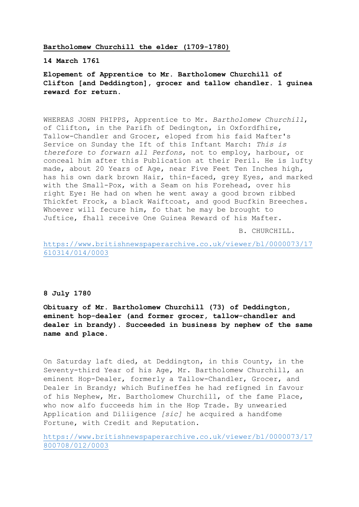# **Bartholomew Churchill the elder (1709-1780)**

#### **14 March 1761**

# **Elopement of Apprentice to Mr. Bartholomew Churchill of Clifton [and Deddington], grocer and tallow chandler. 1 guinea reward for return.**

WHEREAS JOHN PHIPPS, Apprentice to Mr. *Bartholomew Churchill*, of Clifton, in the Parifh of Dedington, in Oxfordfhire, Tallow-Chandler and Grocer, eloped from his faid Mafter's Service on Sunday the Ift of this Inftant March: *This is therefore to forwarn all Perfons*, not to employ, harbour, or conceal him after this Publication at their Peril. He is lufty made, about 20 Years of Age, near Five Feet Ten Inches high, has his own dark brown Hair, thin-faced, grey Eyes, and marked with the Small-Pox, with a Seam on his Forehead, over his right Eye: He had on when he went away a good brown ribbed Thickfet Frock, a black Waiftcoat, and good Bucfkin Breeches. Whoever will fecure him, fo that he may be brought to Juftice, fhall receive One Guinea Reward of his Mafter.

B. CHURCHILL.

[https://www.britishnewspaperarchive.co.uk/viewer/bl/0000073/17](https://www.britishnewspaperarchive.co.uk/viewer/bl/0000073/17610314/014/0003) [610314/014/0003](https://www.britishnewspaperarchive.co.uk/viewer/bl/0000073/17610314/014/0003)

# **8 July 1780**

**Obituary of Mr. Bartholomew Churchill (73) of Deddington, eminent hop-dealer (and former grocer, tallow-chandler and dealer in brandy). Succeeded in business by nephew of the same name and place.**

On Saturday laft died, at Deddington, in this County, in the Seventy-third Year of his Age, Mr. Bartholomew Churchill, an eminent Hop-Dealer, formerly a Tallow-Chandler, Grocer, and Dealer in Brandy; which Bufineffes he had refigned in favour of his Nephew, Mr. Bartholomew Churchill, of the fame Place, who now alfo fucceeds him in the Hop Trade. By unwearied Application and Diliigence *[sic]* he acquired a handfome Fortune, with Credit and Reputation.

[https://www.britishnewspaperarchive.co.uk/viewer/bl/0000073/17](https://www.britishnewspaperarchive.co.uk/viewer/bl/0000073/17800708/012/0003) [800708/012/0003](https://www.britishnewspaperarchive.co.uk/viewer/bl/0000073/17800708/012/0003)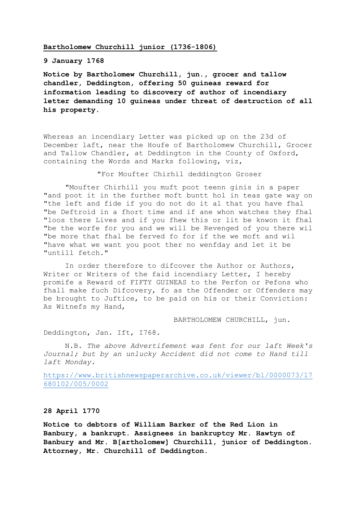#### **Bartholomew Churchill junior (1736-1806)**

# **9 January 1768**

**Notice by Bartholomew Churchill, jun., grocer and tallow chandler, Deddington, offering 50 guineas reward for information leading to discovery of author of incendiary letter demanding 10 guineas under threat of destruction of all his property.**

Whereas an incendiary Letter was picked up on the 23d of December laft, near the Houfe of Bartholomew Churchill, Grocer and Tallow Chandler, at Deddington in the County of Oxford, containing the Words and Marks following, viz,

"For Moufter Chirhil deddington Groser

"Moufter Chirhill you muft poot teenn ginis in a paper "and poot it in the further moft buntt hol in teas gate way on "the left and fide if you do not do it al that you have fhal "be Deftroid in a fhort time and if ane whon watches they fhal "loos there Lives and if you fhew this or lit be knwon it fhal "be the worfe for you and we will be Revenged of you there wil "be more that fhal be ferved fo for if the we moft and wil "have what we want you poot ther no wenfday and let it be "untill fetch."

In order therefore to difcover the Author or Authors, Writer or Writers of the faid incendiary Letter, I hereby promife a Reward of FIFTY GUINEAS to the Perfon or Pefons who fhall make fuch Difcovery, fo as the Offender or Offenders may be brought to Juftice, to be paid on his or their Conviction: As Witnefs my Hand,

BARTHOLOMEW CHURCHILL, jun.

Deddington, Jan. Ift, I768.

N.B. *The above Advertifement was fent for our laft Week's Journal; but by an unlucky Accident did not come to Hand till laft Monday.*

[https://www.britishnewspaperarchive.co.uk/viewer/bl/0000073/17](https://www.britishnewspaperarchive.co.uk/viewer/bl/0000073/17680102/005/0002) [680102/005/0002](https://www.britishnewspaperarchive.co.uk/viewer/bl/0000073/17680102/005/0002)

#### **28 April 1770**

**Notice to debtors of William Barker of the Red Lion in Banbury, a bankrupt. Assignees in bankruptcy Mr. Hawtyn of Banbury and Mr. B[artholomew] Churchill, junior of Deddington. Attorney, Mr. Churchill of Deddington.**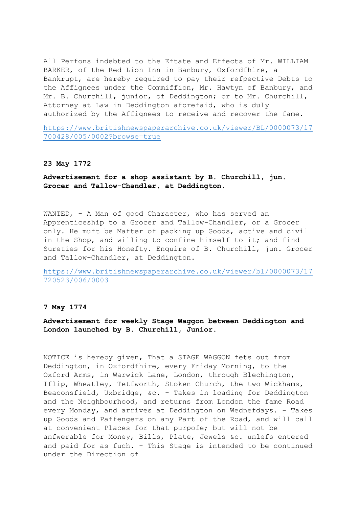All Perfons indebted to the Eftate and Effects of Mr. WILLIAM BARKER, of the Red Lion Inn in Banbury, Oxfordfhire, a Bankrupt, are hereby required to pay their refpective Debts to the Affignees under the Commiffion, Mr. Hawtyn of Banbury, and Mr. B. Churchill, junior, of Deddington; or to Mr. Churchill, Attorney at Law in Deddington aforefaid, who is duly authorized by the Affignees to receive and recover the fame.

[https://www.britishnewspaperarchive.co.uk/viewer/BL/0000073/17](https://www.britishnewspaperarchive.co.uk/viewer/BL/0000073/17700428/005/0002?browse=true) [700428/005/0002?browse=true](https://www.britishnewspaperarchive.co.uk/viewer/BL/0000073/17700428/005/0002?browse=true)

#### **23 May 1772**

**Advertisement for a shop assistant by B. Churchill, jun. Grocer and Tallow-Chandler, at Deddington.**

WANTED, - A Man of good Character, who has served an Apprenticeship to a Grocer and Tallow-Chandler, or a Grocer only. He muft be Mafter of packing up Goods, active and civil in the Shop, and willing to confine himself to it; and find Sureties for his Honefty. Enquire of B. Churchill, jun. Grocer and Tallow-Chandler, at Deddington.

[https://www.britishnewspaperarchive.co.uk/viewer/bl/0000073/17](https://www.britishnewspaperarchive.co.uk/viewer/bl/0000073/17720523/006/0003) [720523/006/0003](https://www.britishnewspaperarchive.co.uk/viewer/bl/0000073/17720523/006/0003)

# **7 May 1774**

**Advertisement for weekly Stage Waggon between Deddington and London launched by B. Churchill, Junior.**

NOTICE is hereby given, That a STAGE WAGGON fets out from Deddington, in Oxfordfhire, every Friday Morning, to the Oxford Arms, in Warwick Lane, London, through Blechington, Iflip, Wheatley, Tetfworth, Stoken Church, the two Wickhams, Beaconsfield, Uxbridge, &c. - Takes in loading for Deddington and the Neighbourhood, and returns from London the fame Road every Monday, and arrives at Deddington on Wednefdays. - Takes up Goods and Paffengers on any Part of the Road, and will call at convenient Places for that purpofe; but will not be anfwerable for Money, Bills, Plate, Jewels &c. unlefs entered and paid for as fuch. - This Stage is intended to be continued under the Direction of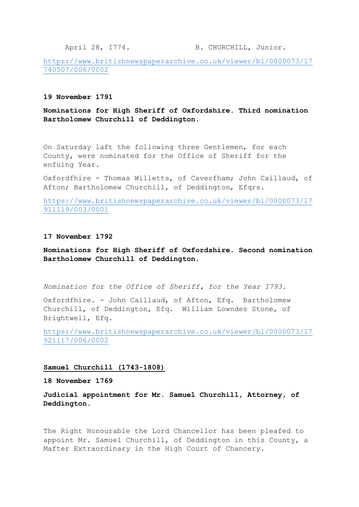April 28, I774. B. CHURCHILL, Junior.

[https://www.britishnewspaperarchive.co.uk/viewer/bl/0000073/17](https://www.britishnewspaperarchive.co.uk/viewer/bl/0000073/17740507/006/0002) [740507/006/0002](https://www.britishnewspaperarchive.co.uk/viewer/bl/0000073/17740507/006/0002)

# **19 November 1791**

**Nominations for High Sheriff of Oxfordshire. Third nomination Bartholomew Churchill of Deddington.**

On Saturday laft the following three Gentlemen, for each County, were nominated for the Office of Sheriff for the enfuing Year.

Oxfordfhire - Thomas Willetts, of Caverfham; John Caillaud, of Afton; Bartholomew Churchill, of Deddington, Efqrs.

[https://www.britishnewspaperarchive.co.uk/viewer/bl/0000073/17](https://www.britishnewspaperarchive.co.uk/viewer/bl/0000073/17911119/003/0001) [911119/003/0001](https://www.britishnewspaperarchive.co.uk/viewer/bl/0000073/17911119/003/0001)

#### **17 November 1792**

**Nominations for High Sheriff of Oxfordshire. Second nomination Bartholomew Churchill of Deddington.**

*Nomination for the Office of Sheriff, for the Year I793.*

Oxfordfhire. - John Caillaud, of Afton, Efq. Bartholomew Churchill, of Deddington, Efq. William Lowndes Stone, of Brightwell, Efq.

[https://www.britishnewspaperarchive.co.uk/viewer/bl/0000073/17](https://www.britishnewspaperarchive.co.uk/viewer/bl/0000073/17921117/006/0002) [921117/006/0002](https://www.britishnewspaperarchive.co.uk/viewer/bl/0000073/17921117/006/0002)

#### **Samuel Churchill (1743-1808)**

**18 November 1769**

**Judicial appointment for Mr. Samuel Churchill, Attorney, of Deddington.**

The Right Honourable the Lord Chancellor has been pleafed to appoint Mr. Samuel Churchill, of Deddington in this County, a Mafter Extraordinary in the High Court of Chancery.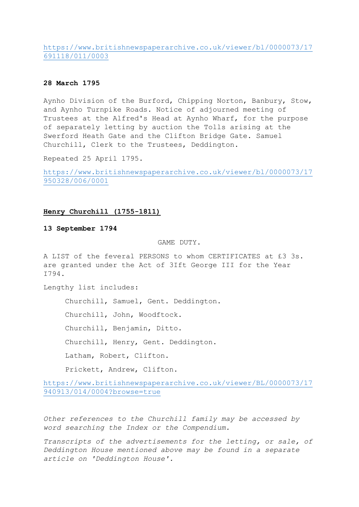[https://www.britishnewspaperarchive.co.uk/viewer/bl/0000073/17](https://www.britishnewspaperarchive.co.uk/viewer/bl/0000073/17691118/011/0003) [691118/011/0003](https://www.britishnewspaperarchive.co.uk/viewer/bl/0000073/17691118/011/0003)

# **28 March 1795**

Aynho Division of the Burford, Chipping Norton, Banbury, Stow, and Aynho Turnpike Roads. Notice of adjourned meeting of Trustees at the Alfred's Head at Aynho Wharf, for the purpose of separately letting by auction the Tolls arising at the Swerford Heath Gate and the Clifton Bridge Gate. Samuel Churchill, Clerk to the Trustees, Deddington.

Repeated 25 April 1795.

[https://www.britishnewspaperarchive.co.uk/viewer/bl/0000073/17](https://www.britishnewspaperarchive.co.uk/viewer/bl/0000073/17950328/006/0001) [950328/006/0001](https://www.britishnewspaperarchive.co.uk/viewer/bl/0000073/17950328/006/0001)

## **Henry Churchill (1755-1811)**

# **13 September 1794**

GAME DUTY.

A LIST of the feveral PERSONS to whom CERTIFICATES at £3 3s. are granted under the Act of 3Ift George III for the Year I794.

Lengthy list includes:

Churchill, Samuel, Gent. Deddington.

Churchill, John, Woodftock.

Churchill, Benjamin, Ditto.

Churchill, Henry, Gent. Deddington.

Latham, Robert, Clifton.

Prickett, Andrew, Clifton.

[https://www.britishnewspaperarchive.co.uk/viewer/BL/0000073/17](https://www.britishnewspaperarchive.co.uk/viewer/BL/0000073/17940913/014/0004?browse=true) [940913/014/0004?browse=true](https://www.britishnewspaperarchive.co.uk/viewer/BL/0000073/17940913/014/0004?browse=true)

*Other references to the Churchill family may be accessed by word searching the Index or the Compendium.* 

*Transcripts of the advertisements for the letting, or sale, of Deddington House mentioned above may be found in a separate article on 'Deddington House'.*